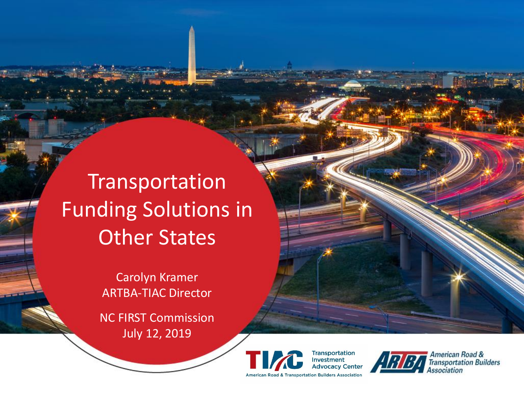**Transportation** Funding Solutions in ner Stat<br>Der Stat **Transportation** Funding Solutions in Other States

**ARTBA Senior Carolyn Kramer** Manus Carolyn Kramer ARTBA FIAC DIFECTOR ARTBA-TIAC Director

> **NC FIRST Commission** July 12, 2019





American Road & **Transportation Builders** *ssociation*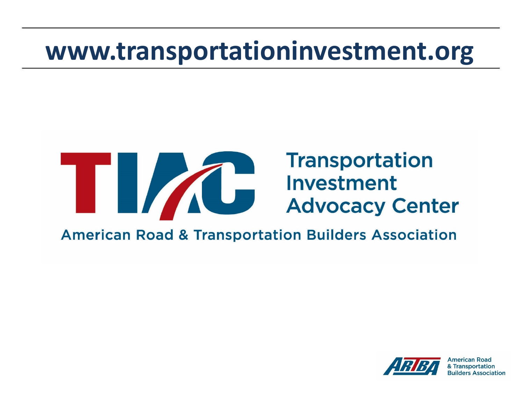# **www.transportationinvestment.org**

# **Transportation The Contract of Second Service Service Service Service Service Service Service Service Service Service Service Service Service Service Service Service Service Service Service Service Service Service Service Service Servic American Road & Transportation Builders Association**

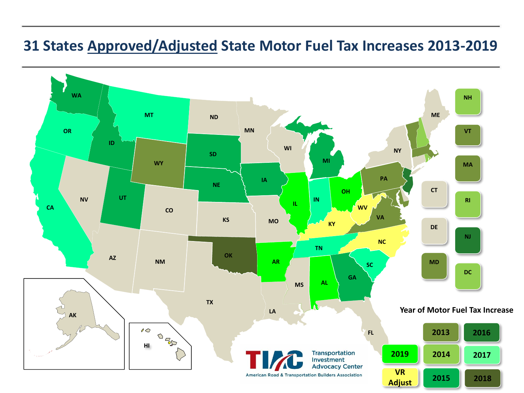### **31 States Approved/Adjusted State Motor Fuel Tax Increases 2013-2019**

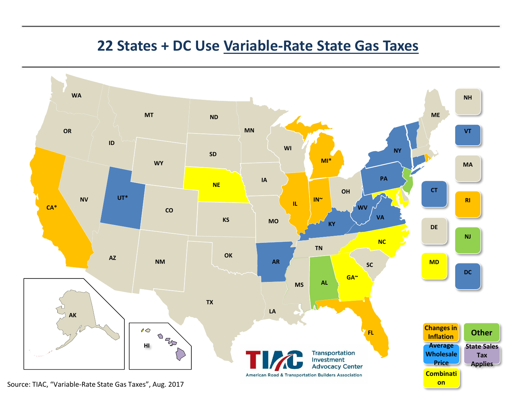#### **22 States + DC Use Variable-Rate State Gas Taxes**



Source: TIAC, "Variable-Rate State Gas Taxes", Aug. 2017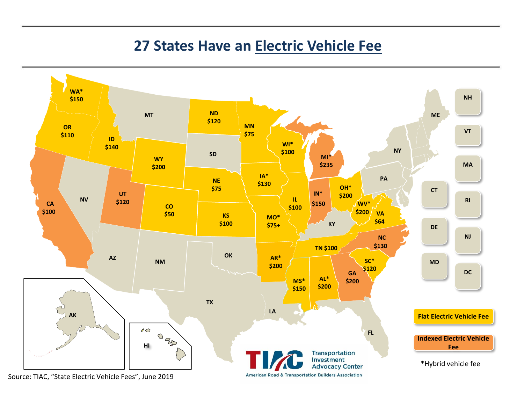#### **27 States Have an Electric Vehicle Fee**

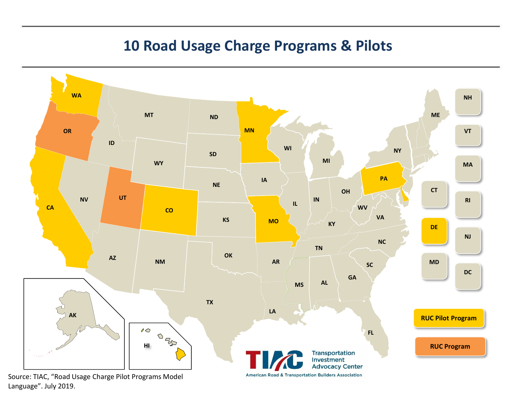# **10 Road Usage Charge Programs & Pilots**



Language". July 2019.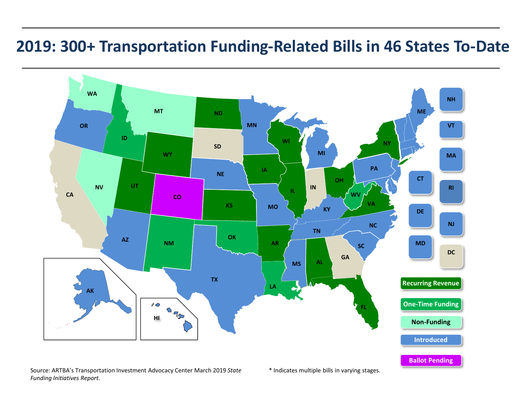# **2019: 300+ Transportation Funding-Related Bills in 46 States To-Date**



Source: ARTBA's Transportation Investment Advocacy Center March 2019 *State* \* Indicates multiple bills in varying stages. *Funding Initiatives Report*.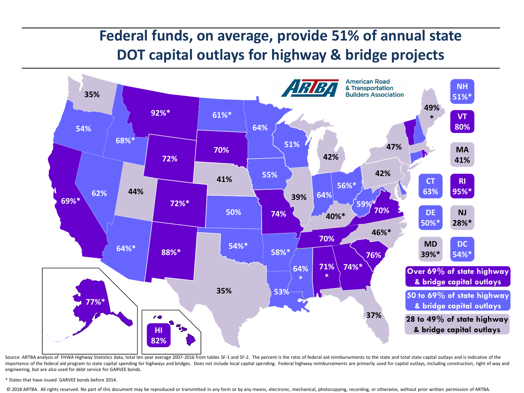# **Federal funds, on average, provide 51% of annual state DOT capital outlays for highway & bridge projects**



Source: ARTBA analysis of FHWA Highway Statistics data, total ten year average 2007-2016 from tables SF-1 and SF-2. The percent is the ratio of federal aid reimbursements to the state and total state capital outlays and is importance of the federal aid program to state capital spending for highways and bridges. Does not include local capital spending. Federal highway reimbursements are primarily used for capital outlays, including constructi engineering, but are also used for debt service for GARVEE bonds.

\* States that have issued GARVEE bonds before 2014.

© 2018 ARTBA. All rights reserved. No part of this document may be reproduced or transmitted in any form or by any means, electronic, mechanical, photocopying, recording, or otherwise, without prior written permission of A